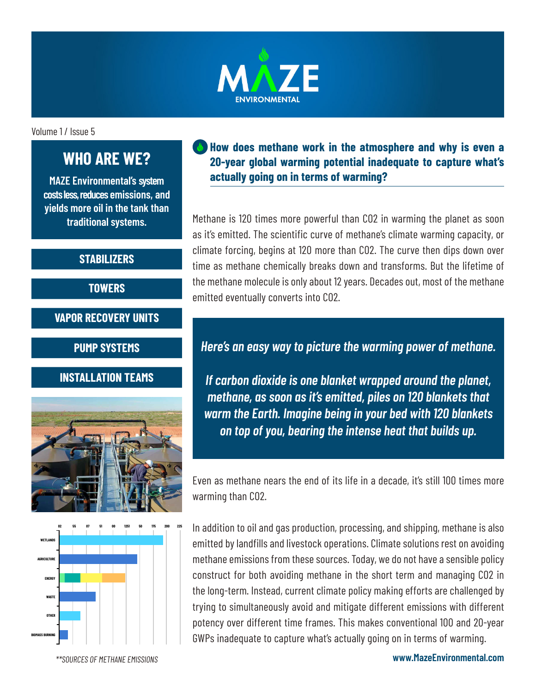

Volume 1 / Issue 5

# **WHO ARE WE?**

**MAZE Environmental's system costs less, reduces emissions, and yields more oil in the tank than traditional systems.**

#### **STABILIZERS**

**TOWERS**

**VAPOR RECOVERY UNITS**

**PUMP SYSTEMS**

### **INSTALLATION TEAMS**





#### **How does methane work in the atmosphere and why is even a 20-year global warming potential inadequate to capture what's actually going on in terms of warming?**

Methane is 120 times more powerful than CO2 in warming the planet as soon as it's emitted. The scientific curve of methane's climate warming capacity, or climate forcing, begins at 120 more than CO2. The curve then dips down over time as methane chemically breaks down and transforms. But the lifetime of the methane molecule is only about 12 years. Decades out, most of the methane emitted eventually converts into CO2.

## *Here's an easy way to picture the warming power of methane.*

*If carbon dioxide is one blanket wrapped around the planet, methane, as soon as it's emitted, piles on 120 blankets that warm the Earth. Imagine being in your bed with 120 blankets on top of you, bearing the intense heat that builds up.* 

Even as methane nears the end of its life in a decade, it's still 100 times more warming than CO2.

In addition to oil and gas production, processing, and shipping, methane is also emitted by landfills and livestock operations. Climate solutions rest on avoiding methane emissions from these sources. Today, we do not have a sensible policy construct for both avoiding methane in the short term and managing CO2 in the long-term. Instead, current climate policy making efforts are challenged by trying to simultaneously avoid and mitigate different emissions with different potency over different time frames. This makes conventional 100 and 20-year GWPs inadequate to capture what's actually going on in terms of warming.

*\*\*SOURCES OF METHANE EMISSIONS*